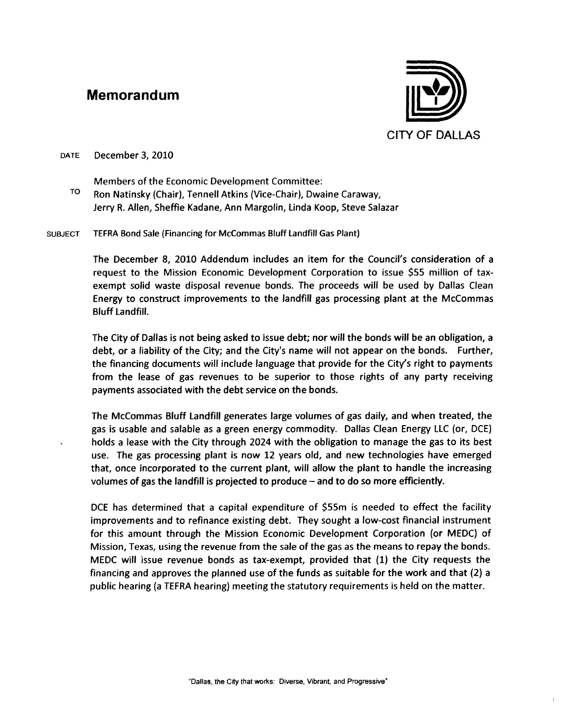## **Memorandum**



DATE December 3, 2010

Members of the Economic Development Committee:

TO Ron Natinsky (Chair), Tennell Atkins (Vice-Chair), Dwaine Caraway, Jerry R. Allen, Sheffie Kadane, Ann Margolin, Linda Koop, Steve Salazar

**SUBJECT** TEFRA Bond Sale (Financing for McCommas Bluff landfill Gas Plant)

> The December 8, 2010 Addendum includes an item for the Council's consideration of a request to the Mission Economic Development Corporation to issue \$55 million of taxexempt solid waste disposal revenue bonds. The proceeds will be used by Dallas Clean Energy to construct improvements to the landfill gas processing plant at the McCommas Bluff Landfill.

> The City of Dallas is not being asked to issue debt; nor will the bonds will be an obligation, a debt, or a liability of the City; and the City's name will not appear on the bonds. Further, the financing documents will include language that provide for the City's right to payments from the lease of gas revenues to be superior to those rights of any party receiving payments associated with the debt service on the bonds.

> The McCommas Bluff Landfill generates large volumes of gas daily, and when treated, the gas is usable and salable as a green energy commodity. Dallas Clean Energy LLC (or, DCE) holds a lease with the City through 2024 with the obligation to manage the gas to its best use. The gas processing plant is now 12 years old, and new technologies have emerged that, once incorporated to the current plant, will allow the plant to handle the increasing volumes of gas the landfill is projected to produce - and to do so more efficiently.

> DCE has determined that a capital expenditure of \$55m is needed to effect the facility improvements and to refinance existing debt. They sought a low-cost financial instrument for this amount through the Mission Economic Development Corporation (or MEDC) of Mission, Texas, using the revenue from the sale of the gas as the means to repay the bonds. MEDC will issue revenue bonds as tax-exempt, provided that (1) the City requests the financing and approves the planned use of the funds as suitable for the work and that (2) a public hearing (a TEFRA hearing) meeting the statutory requirements is held on the matter.